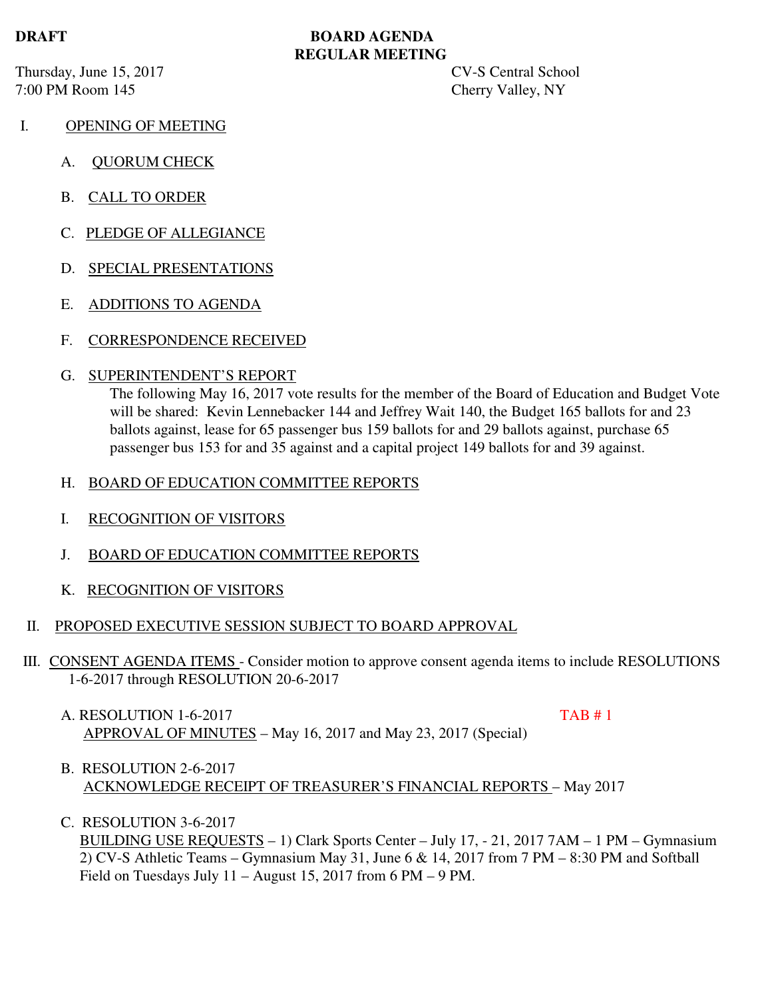Thursday, June 15, 2017 CV-S Central School 7:00 PM Room 145 Cherry Valley, NY

# **DRAFT BOARD AGENDA REGULAR MEETING**

- I. OPENING OF MEETING
	- A. QUORUM CHECK
	- B. CALL TO ORDER
	- C. PLEDGE OF ALLEGIANCE
	- D. SPECIAL PRESENTATIONS
	- E. ADDITIONS TO AGENDA
	- F. CORRESPONDENCE RECEIVED

### G. SUPERINTENDENT'S REPORT

The following May 16, 2017 vote results for the member of the Board of Education and Budget Vote will be shared: Kevin Lennebacker 144 and Jeffrey Wait 140, the Budget 165 ballots for and 23 ballots against, lease for 65 passenger bus 159 ballots for and 29 ballots against, purchase 65 passenger bus 153 for and 35 against and a capital project 149 ballots for and 39 against.

### H. BOARD OF EDUCATION COMMITTEE REPORTS

- I. RECOGNITION OF VISITORS
- J. BOARD OF EDUCATION COMMITTEE REPORTS
- K. RECOGNITION OF VISITORS

### II. PROPOSED EXECUTIVE SESSION SUBJECT TO BOARD APPROVAL

- III. CONSENT AGENDA ITEMS Consider motion to approve consent agenda items to include RESOLUTIONS 1-6-2017 through RESOLUTION 20-6-2017
	- A. RESOLUTION 1-6-2017 TAB # 1 APPROVAL OF MINUTES – May 16, 2017 and May 23, 2017 (Special)

- B. RESOLUTION 2-6-2017 ACKNOWLEDGE RECEIPT OF TREASURER'S FINANCIAL REPORTS – May 2017
- C. RESOLUTION 3-6-2017

 BUILDING USE REQUESTS – 1) Clark Sports Center – July 17, - 21, 2017 7AM – 1 PM – Gymnasium 2) CV-S Athletic Teams – Gymnasium May 31, June 6 & 14, 2017 from 7 PM – 8:30 PM and Softball Field on Tuesdays July 11 – August 15, 2017 from 6 PM – 9 PM.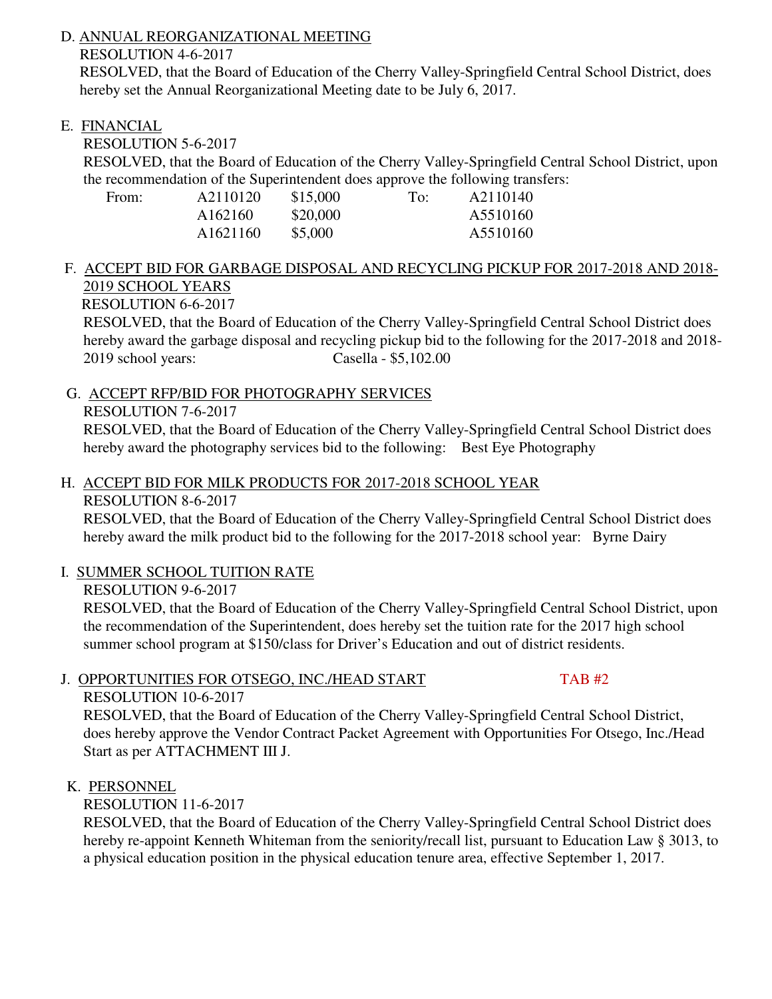# D. ANNUAL REORGANIZATIONAL MEETING

RESOLUTION 4-6-2017

 RESOLVED, that the Board of Education of the Cherry Valley-Springfield Central School District, does hereby set the Annual Reorganizational Meeting date to be July 6, 2017.

# E. FINANCIAL

RESOLUTION 5-6-2017

 RESOLVED, that the Board of Education of the Cherry Valley-Springfield Central School District, upon the recommendation of the Superintendent does approve the following transfers:

| From: | A2110120 | \$15,000 | To: | A2110140 |
|-------|----------|----------|-----|----------|
|       | A162160  | \$20,000 |     | A5510160 |
|       | A1621160 | \$5,000  |     | A5510160 |

# F. ACCEPT BID FOR GARBAGE DISPOSAL AND RECYCLING PICKUP FOR 2017-2018 AND 2018- 2019 SCHOOL YEARS

RESOLUTION 6-6-2017

 RESOLVED, that the Board of Education of the Cherry Valley-Springfield Central School District does hereby award the garbage disposal and recycling pickup bid to the following for the 2017-2018 and 2018- 2019 school years: Casella - \$5,102.00

G. ACCEPT RFP/BID FOR PHOTOGRAPHY SERVICES

# RESOLUTION 7-6-2017

 RESOLVED, that the Board of Education of the Cherry Valley-Springfield Central School District does hereby award the photography services bid to the following: Best Eye Photography

# H. ACCEPT BID FOR MILK PRODUCTS FOR 2017-2018 SCHOOL YEAR

RESOLUTION 8-6-2017

 RESOLVED, that the Board of Education of the Cherry Valley-Springfield Central School District does hereby award the milk product bid to the following for the 2017-2018 school year: Byrne Dairy

# I. SUMMER SCHOOL TUITION RATE

RESOLUTION 9-6-2017

 RESOLVED, that the Board of Education of the Cherry Valley-Springfield Central School District, upon the recommendation of the Superintendent, does hereby set the tuition rate for the 2017 high school summer school program at \$150/class for Driver's Education and out of district residents.

# J. OPPORTUNITIES FOR OTSEGO, INC./HEAD START TAB #2

RESOLUTION 10-6-2017

 RESOLVED, that the Board of Education of the Cherry Valley-Springfield Central School District, does hereby approve the Vendor Contract Packet Agreement with Opportunities For Otsego, Inc./Head Start as per ATTACHMENT III J.

# K. PERSONNEL

RESOLUTION 11-6-2017

 RESOLVED, that the Board of Education of the Cherry Valley-Springfield Central School District does hereby re-appoint Kenneth Whiteman from the seniority/recall list, pursuant to Education Law § 3013, to a physical education position in the physical education tenure area, effective September 1, 2017.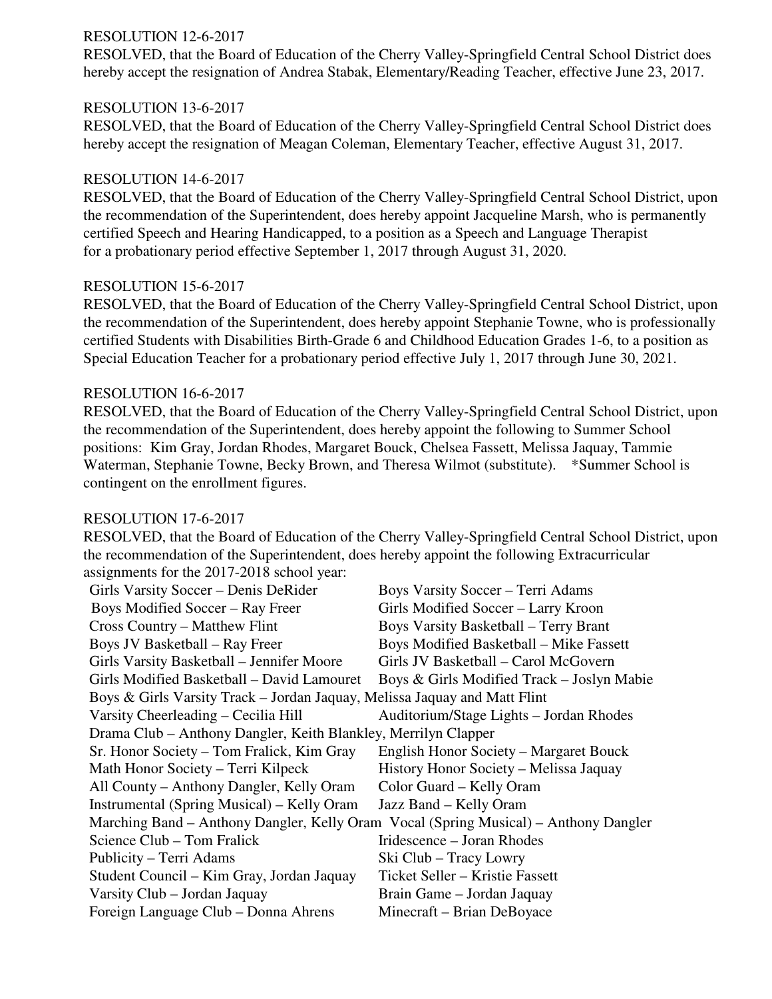### RESOLUTION 12-6-2017

 RESOLVED, that the Board of Education of the Cherry Valley-Springfield Central School District does hereby accept the resignation of Andrea Stabak, Elementary/Reading Teacher, effective June 23, 2017.

### RESOLUTION 13-6-2017

 RESOLVED, that the Board of Education of the Cherry Valley-Springfield Central School District does hereby accept the resignation of Meagan Coleman, Elementary Teacher, effective August 31, 2017.

### RESOLUTION 14-6-2017

 RESOLVED, that the Board of Education of the Cherry Valley-Springfield Central School District, upon the recommendation of the Superintendent, does hereby appoint Jacqueline Marsh, who is permanently certified Speech and Hearing Handicapped, to a position as a Speech and Language Therapist for a probationary period effective September 1, 2017 through August 31, 2020.

### RESOLUTION 15-6-2017

 RESOLVED, that the Board of Education of the Cherry Valley-Springfield Central School District, upon the recommendation of the Superintendent, does hereby appoint Stephanie Towne, who is professionally certified Students with Disabilities Birth-Grade 6 and Childhood Education Grades 1-6, to a position as Special Education Teacher for a probationary period effective July 1, 2017 through June 30, 2021.

### RESOLUTION 16-6-2017

 RESOLVED, that the Board of Education of the Cherry Valley-Springfield Central School District, upon the recommendation of the Superintendent, does hereby appoint the following to Summer School positions: Kim Gray, Jordan Rhodes, Margaret Bouck, Chelsea Fassett, Melissa Jaquay, Tammie Waterman, Stephanie Towne, Becky Brown, and Theresa Wilmot (substitute). \*Summer School is contingent on the enrollment figures.

#### RESOLUTION 17-6-2017

 RESOLVED, that the Board of Education of the Cherry Valley-Springfield Central School District, upon the recommendation of the Superintendent, does hereby appoint the following Extracurricular assignments for the 2017-2018 school year:

| Girls Varsity Soccer - Denis DeRider                                                 | <b>Boys Varsity Soccer – Terri Adams</b>       |  |  |
|--------------------------------------------------------------------------------------|------------------------------------------------|--|--|
| Boys Modified Soccer – Ray Freer                                                     | Girls Modified Soccer - Larry Kroon            |  |  |
| Cross Country – Matthew Flint                                                        | <b>Boys Varsity Basketball – Terry Brant</b>   |  |  |
| <b>Boys JV Basketball - Ray Freer</b>                                                | <b>Boys Modified Basketball - Mike Fassett</b> |  |  |
| Girls Varsity Basketball - Jennifer Moore                                            | Girls JV Basketball - Carol McGovern           |  |  |
| Girls Modified Basketball – David Lamouret                                           | Boys & Girls Modified Track – Joslyn Mabie     |  |  |
| Boys & Girls Varsity Track – Jordan Jaquay, Melissa Jaquay and Matt Flint            |                                                |  |  |
| Varsity Cheerleading – Cecilia Hill                                                  | Auditorium/Stage Lights - Jordan Rhodes        |  |  |
| Drama Club – Anthony Dangler, Keith Blankley, Merrilyn Clapper                       |                                                |  |  |
| Sr. Honor Society – Tom Fralick, Kim Gray                                            | English Honor Society - Margaret Bouck         |  |  |
| Math Honor Society - Terri Kilpeck                                                   | History Honor Society - Melissa Jaquay         |  |  |
| All County – Anthony Dangler, Kelly Oram                                             | Color Guard – Kelly Oram                       |  |  |
| Instrumental (Spring Musical) – Kelly Oram                                           | Jazz Band – Kelly Oram                         |  |  |
| Marching Band – Anthony Dangler, Kelly Oram Vocal (Spring Musical) – Anthony Dangler |                                                |  |  |
| Science Club – Tom Fralick                                                           | Iridescence – Joran Rhodes                     |  |  |
| Publicity – Terri Adams                                                              | Ski Club – Tracy Lowry                         |  |  |
| Student Council – Kim Gray, Jordan Jaquay                                            | Ticket Seller – Kristie Fassett                |  |  |
| Varsity Club - Jordan Jaquay                                                         | Brain Game – Jordan Jaquay                     |  |  |
| Foreign Language Club – Donna Ahrens                                                 | Minecraft - Brian DeBoyace                     |  |  |
|                                                                                      |                                                |  |  |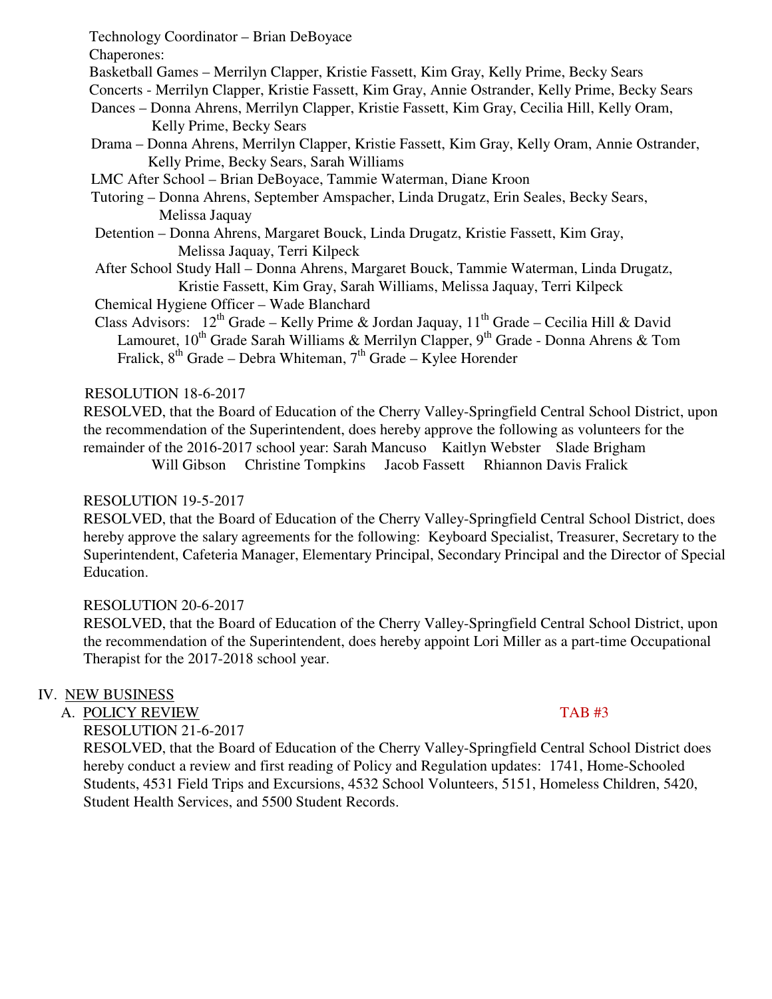Technology Coordinator – Brian DeBoyace

Chaperones:

- Basketball Games Merrilyn Clapper, Kristie Fassett, Kim Gray, Kelly Prime, Becky Sears
- Concerts Merrilyn Clapper, Kristie Fassett, Kim Gray, Annie Ostrander, Kelly Prime, Becky Sears
- Dances Donna Ahrens, Merrilyn Clapper, Kristie Fassett, Kim Gray, Cecilia Hill, Kelly Oram, Kelly Prime, Becky Sears
- Drama Donna Ahrens, Merrilyn Clapper, Kristie Fassett, Kim Gray, Kelly Oram, Annie Ostrander, Kelly Prime, Becky Sears, Sarah Williams
- LMC After School Brian DeBoyace, Tammie Waterman, Diane Kroon
- Tutoring Donna Ahrens, September Amspacher, Linda Drugatz, Erin Seales, Becky Sears, Melissa Jaquay
- Detention Donna Ahrens, Margaret Bouck, Linda Drugatz, Kristie Fassett, Kim Gray, Melissa Jaquay, Terri Kilpeck
- After School Study Hall Donna Ahrens, Margaret Bouck, Tammie Waterman, Linda Drugatz, Kristie Fassett, Kim Gray, Sarah Williams, Melissa Jaquay, Terri Kilpeck

Chemical Hygiene Officer – Wade Blanchard

Class Advisors:  $12^{th}$  Grade – Kelly Prime & Jordan Jaquay,  $11^{th}$  Grade – Cecilia Hill & David Lamouret, 10<sup>th</sup> Grade Sarah Williams & Merrilyn Clapper, 9<sup>th</sup> Grade - Donna Ahrens & Tom Fralick,  $8^{th}$  Grade – Debra Whiteman,  $7^{th}$  Grade – Kylee Horender

# RESOLUTION 18-6-2017

 RESOLVED, that the Board of Education of the Cherry Valley-Springfield Central School District, upon the recommendation of the Superintendent, does hereby approve the following as volunteers for the remainder of the 2016-2017 school year: Sarah Mancuso Kaitlyn Webster Slade Brigham

Will Gibson Christine Tompkins Jacob Fassett Rhiannon Davis Fralick

## RESOLUTION 19-5-2017

RESOLVED, that the Board of Education of the Cherry Valley-Springfield Central School District, does hereby approve the salary agreements for the following: Keyboard Specialist, Treasurer, Secretary to the Superintendent, Cafeteria Manager, Elementary Principal, Secondary Principal and the Director of Special Education.

# RESOLUTION 20-6-2017

 RESOLVED, that the Board of Education of the Cherry Valley-Springfield Central School District, upon the recommendation of the Superintendent, does hereby appoint Lori Miller as a part-time Occupational Therapist for the 2017-2018 school year.

# IV. NEW BUSINESS

A. POLICY REVIEW TAB #3

RESOLUTION 21-6-2017

 RESOLVED, that the Board of Education of the Cherry Valley-Springfield Central School District does hereby conduct a review and first reading of Policy and Regulation updates: 1741, Home-Schooled Students, 4531 Field Trips and Excursions, 4532 School Volunteers, 5151, Homeless Children, 5420, Student Health Services, and 5500 Student Records.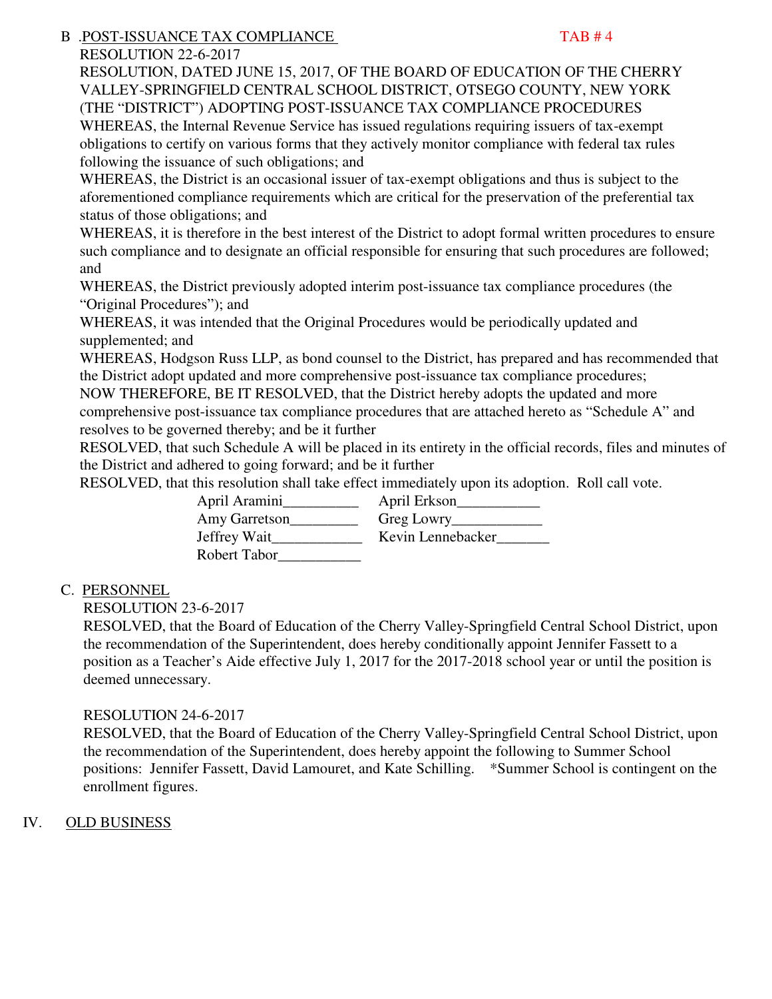# B .POST-ISSUANCE TAX COMPLIANCE TARE TAB # 4

RESOLUTION 22-6-2017

 RESOLUTION, DATED JUNE 15, 2017, OF THE BOARD OF EDUCATION OF THE CHERRY VALLEY-SPRINGFIELD CENTRAL SCHOOL DISTRICT, OTSEGO COUNTY, NEW YORK (THE "DISTRICT") ADOPTING POST-ISSUANCE TAX COMPLIANCE PROCEDURES WHEREAS, the Internal Revenue Service has issued regulations requiring issuers of tax-exempt obligations to certify on various forms that they actively monitor compliance with federal tax rules following the issuance of such obligations; and

WHEREAS, the District is an occasional issuer of tax-exempt obligations and thus is subject to the aforementioned compliance requirements which are critical for the preservation of the preferential tax status of those obligations; and

WHEREAS, it is therefore in the best interest of the District to adopt formal written procedures to ensure such compliance and to designate an official responsible for ensuring that such procedures are followed; and

WHEREAS, the District previously adopted interim post-issuance tax compliance procedures (the "Original Procedures"); and

WHEREAS, it was intended that the Original Procedures would be periodically updated and supplemented; and

WHEREAS, Hodgson Russ LLP, as bond counsel to the District, has prepared and has recommended that the District adopt updated and more comprehensive post-issuance tax compliance procedures;

NOW THEREFORE, BE IT RESOLVED, that the District hereby adopts the updated and more comprehensive post-issuance tax compliance procedures that are attached hereto as "Schedule A" and resolves to be governed thereby; and be it further

RESOLVED, that such Schedule A will be placed in its entirety in the official records, files and minutes of the District and adhered to going forward; and be it further

RESOLVED, that this resolution shall take effect immediately upon its adoption. Roll call vote.

 April Aramini\_\_\_\_\_\_\_\_\_\_ April Erkson\_\_\_\_\_\_\_\_\_\_\_ Amy Garretson\_\_\_\_\_\_\_\_\_ Greg Lowry\_\_\_\_\_\_\_\_\_\_\_\_ Jeffrey Wait\_\_\_\_\_\_\_\_\_\_\_\_ Kevin Lennebacker\_\_\_\_\_\_\_ Robert Tabor\_\_\_\_\_\_\_\_\_\_\_

# C. PERSONNEL

RESOLUTION 23-6-2017

 RESOLVED, that the Board of Education of the Cherry Valley-Springfield Central School District, upon the recommendation of the Superintendent, does hereby conditionally appoint Jennifer Fassett to a position as a Teacher's Aide effective July 1, 2017 for the 2017-2018 school year or until the position is deemed unnecessary.

# RESOLUTION 24-6-2017

 RESOLVED, that the Board of Education of the Cherry Valley-Springfield Central School District, upon the recommendation of the Superintendent, does hereby appoint the following to Summer School positions: Jennifer Fassett, David Lamouret, and Kate Schilling. \*Summer School is contingent on the enrollment figures.

# IV. OLD BUSINESS